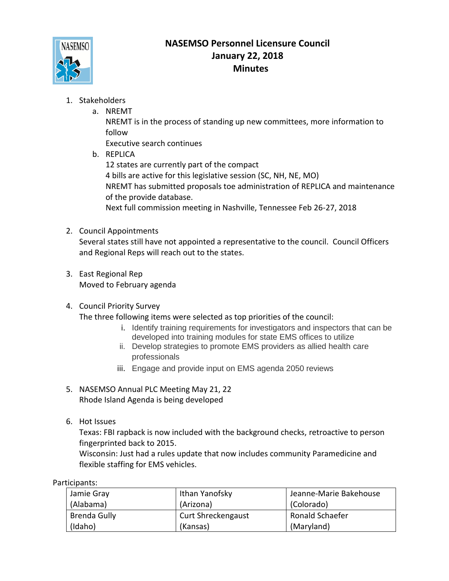

## **NASEMSO Personnel Licensure Council January 22, 2018 Minutes**

- 1. Stakeholders
	- a. NREMT

NREMT is in the process of standing up new committees, more information to follow

Executive search continues

b. REPLICA

12 states are currently part of the compact 4 bills are active for this legislative session (SC, NH, NE, MO) NREMT has submitted proposals toe administration of REPLICA and maintenance of the provide database. Next full commission meeting in Nashville, Tennessee Feb 26-27, 2018

2. Council Appointments

Several states still have not appointed a representative to the council. Council Officers and Regional Reps will reach out to the states.

3. East Regional Rep Moved to February agenda

## 4. Council Priority Survey

The three following items were selected as top priorities of the council:

- i. Identify training requirements for investigators and inspectors that can be developed into training modules for state EMS offices to utilize
- ii. Develop strategies to promote EMS providers as allied health care professionals
- iii. Engage and provide input on EMS agenda 2050 reviews
- 5. NASEMSO Annual PLC Meeting May 21, 22 Rhode Island Agenda is being developed
- 6. Hot Issues

Texas: FBI rapback is now included with the background checks, retroactive to person fingerprinted back to 2015.

Wisconsin: Just had a rules update that now includes community Paramedicine and flexible staffing for EMS vehicles.

| .                   |                           |                        |
|---------------------|---------------------------|------------------------|
| Jamie Gray          | Ithan Yanofsky            | Jeanne-Marie Bakehouse |
| (Alabama)           | (Arizona)                 | (Colorado)             |
| <b>Brenda Gully</b> | <b>Curt Shreckengaust</b> | Ronald Schaefer        |
| (Idaho)             | (Kansas)                  | (Maryland)             |

Participants: